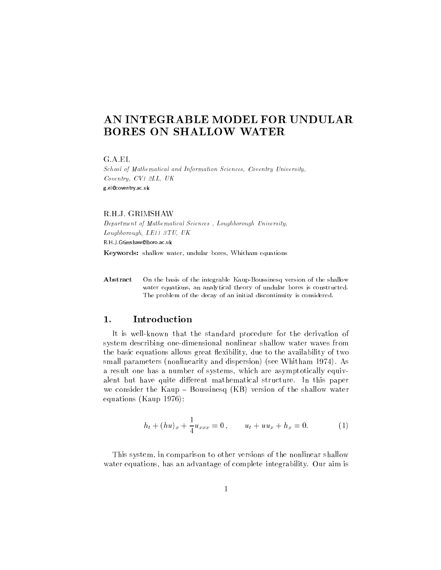# AN INTEGRABLE MODEL FOR UNDULAR BORES ON SHALLOW WATER

School of Mathematical and Information Sciences, Coventry University,Coventry, CV1 2LL, UKg.el@coventry.ac.uk

## R.H.J. GRIMSHAW

Department of Mathematical Sciences , Loughborough University,Loughborough, LE11 3TU, UK

R.H.J.Grimshaw@lboro.ac.uk

Keywords: shallow water, undular bores, Whitham equations

Abstract On the basis of the integrable Kaup-Boussinesq version of the shallow water equations, an analytical theory of undular bores is constructed. The problem of the decay of an initial discontinuity is considered.

#### 1.Introduction

It is well-known that the standard procedure for the derivation of system describing one-dimensional nonlinear shallow water waves from the basic equations allows great flexibility, due to the availability of two small parameters (nonlinearity and dispersion) (see Whitham 1974). As a result one has a number of systems, which are asymptotically equivalent but have quite different mathematical structure. In this paper we consider the Kaup  $-$  Boussinesq (KB) version of the shallow water equations (Kaup 1976):

$$
h_t + (hu)_x + \frac{1}{4}u_{xxx} = 0, \qquad u_t + uu_x + h_x = 0.
$$
 (1)

This system, in comparison to other versions of the nonlinear shallow water equations, has an advantage of complete integrability. Our aim is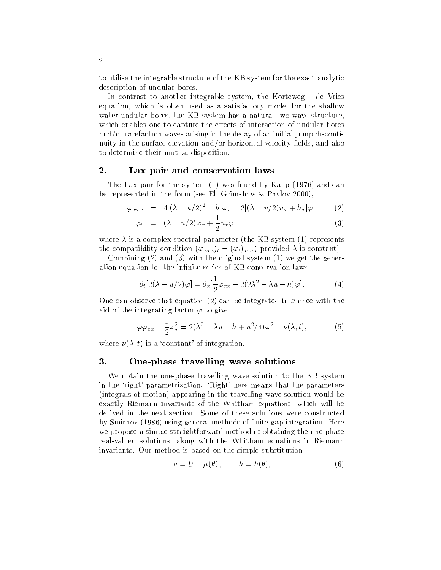to utilise the integrable structure of the KB system for the exact analytic description of undular bores.

In contrast to another integrable system, the Korteweg  $-$  de Vries equation, which is often used as a satisfactory model for the shallow water undular bores, the KB system has a natural two-wave structure, which enables one to capture the effects of interaction of undular bores and/or rarefaction waves arising in the decay of an initial jump discontinuity in the surface elevation and/or horizontal velocity fields, and also to determine their mutual disposition.

### 2.Lax pair and conservation laws

The Lax pair for the system (1) was found by Kaup (1976) and can be represented in the form (see El, Grimshaw  $\&$  Pavlov 2000),

$$
\varphi_{xxx} = 4[(\lambda - u/2)^2 - h]\varphi_x - 2[(\lambda - u/2)u_x + h_x]\varphi, \qquad (2)
$$

$$
\varphi_t = (\lambda - u/2)\varphi_x + \frac{1}{2}u_x\varphi, \qquad (3)
$$

where  $\lambda$  is a complex spectral parameter (the KB system (1) represents the compatibility condition  $(\varphi_{xxx})_t = (\varphi_t)_{xxx}$  provided  $\lambda$  is constant).

Combining (2) and (3) with the original system (1) we get the generation equation for the infinite series of KB conservation laws

$$
\partial_t[2(\lambda - u/2)\varphi] = \partial_x[\frac{1}{2}\varphi_{xx} - 2(2\lambda^2 - \lambda u - h)\varphi].\tag{4}
$$

One can observe that equation  $(2)$  can be integrated in x once with the aid of the integrating factor  $\varphi$  to give

$$
\varphi \varphi_{xx} - \frac{1}{2} \varphi_x^2 = 2(\lambda^2 - \lambda u - h + u^2/4) \varphi^2 - \nu(\lambda, t), \tag{5}
$$

where  $\nu(\lambda, t)$  is a 'constant' of integration.

#### 3.One-phase travelling wave solutions

We obtain the one-phase travelling wave solution to the KB system in the 'right' parametrization. 'Right' here means that the parameters (integrals of motion) appearing in the travelling wave solution would be exactly Riemann invariants of the Whitham equations, which will be derived in the next section. Some of these solutions were constructed by Smirnov (1986) using general methods of nite-gap integration. Here we propose a simple straightforward method of obtaining the one-phase real-valued solutions, along with the Whitham equations in Riemann invariants. Our method is based on the simple substitution

$$
u = U - \mu(\theta) , \qquad h = h(\theta) , \tag{6}
$$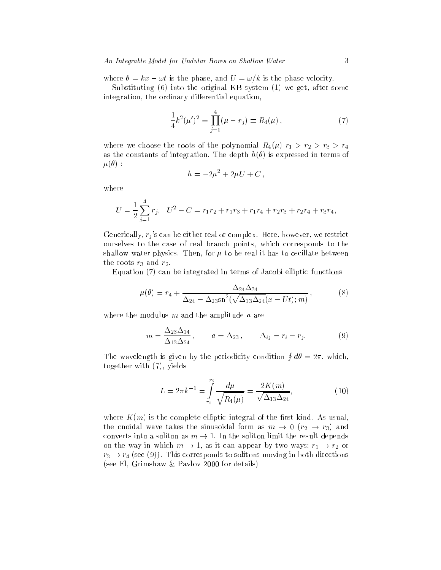where  $\theta = kx - \omega t$  is the phase, and  $U = \omega/k$  is the phase velocity.

Substituting (6) into the original KB system (1) we get, after some integration, the ordinary differential equation,

$$
\frac{1}{4}k^2(\mu')^2 = \prod_{j=1}^4 (\mu - r_j) \equiv R_4(\mu) , \qquad (7)
$$

where we choose the roots of the polynomial  $R_4(\mu)$   $r_1 > r_2 > r_3 > r_4$ as the constants of integration. The depth  $h(\theta)$  is expressed in terms of  $\mu(\theta)$ :

$$
h=-2\mu^2+2\mu U+C,
$$

where

$$
U = \frac{1}{2} \sum_{j=1}^{4} r_j, \quad U^2 - C = r_1 r_2 + r_1 r_3 + r_1 r_4 + r_2 r_3 + r_2 r_4 + r_3 r_4,
$$

Generically,  $r_i$ 's can be either real or complex. Here, however, we restrict ourselves to the case of real branch points, which corresponds to the shallow water physics. Then, for  $\mu$  to be real it has to oscillate between the roots  $r_3$  and  $r_2$ .

Equation (7) can be integrated in terms of Jacobi elliptic functions

$$
\mu(\theta) = r_4 + \frac{\Delta_{24}\Delta_{34}}{\Delta_{24} - \Delta_{23}\text{sn}^2(\sqrt{\Delta_{13}\Delta_{24}}(x - Ut); m)},
$$
\n(8)

where the modulus  $m$  and the amplitude  $a$  are

$$
m = \frac{\Delta_{23}\Delta_{14}}{\Delta_{13}\Delta_{24}}, \qquad a = \Delta_{23}, \qquad \Delta_{ij} = r_i - r_j. \tag{9}
$$

The wavelength is given by the periodicity condition  $\oint d\theta = 2\pi$ , which, together with (7), yields

$$
L = 2\pi k^{-1} = \int_{r_3}^{r_2} \frac{d\mu}{\sqrt{R_4(\mu)}} = \frac{2K(m)}{\sqrt{\Delta_{13}\Delta_{24}}},\tag{10}
$$

where  $K(m)$  is the complete elliptic integral of the first kind. As usual, the cnoidal wave takes the sinusoidal form as  $m \to 0$  ( $r_2 \to r_3$ ) and converts into a soliton as  $m \to 1$ . In the soliton limit the result depends on the way in which  $m \to 1$ , as it can appear by two ways;  $r_1 \to r_2$  or  $r_3 \rightarrow r_4$  (see (9)). This corresponds to solitons moving in both directions (see El, Grimshaw&Pavlov 2000 for details)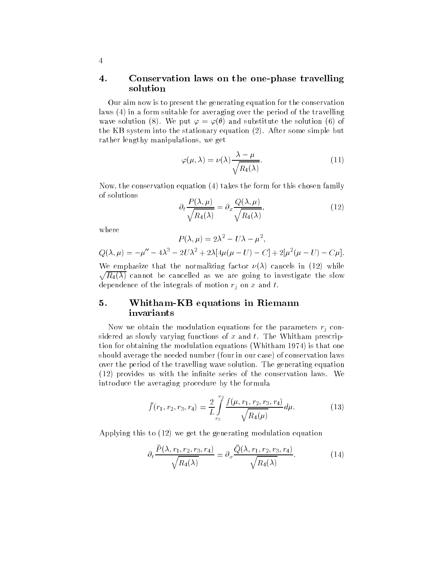## 4. Conservation laws on the one-phase travelling solution

Our aim now is to present the generating equation for the conservation laws (4) in a form suitable for averaging over the period of the travelling wave solution (8). We put  $\varphi = \varphi(\theta)$  and substitute the solution (6) of the KB system into the stationary equation (2). After some simple but rather lengthy manipulations, we get

$$
\varphi(\mu,\lambda) = \nu(\lambda) \frac{\lambda - \mu}{\sqrt{R_4(\lambda)}}.
$$
\n(11)

Now, the conservation equation (4) takes the form for this chosen family of solutions

$$
\partial_t \frac{P(\lambda, \mu)}{\sqrt{R_4(\lambda)}} = \partial_x \frac{Q(\lambda, \mu)}{\sqrt{R_4(\lambda)}},\tag{12}
$$

where

$$
P(\lambda, \mu) = 2\lambda^2 - U\lambda - \mu^2,
$$

$$
Q(\lambda, \mu) = -\mu'' - 4\lambda^3 - 2U\lambda^2 + 2\lambda[4\mu(\mu - U) - C] + 2[\mu^2(\mu - U) - C\mu].
$$

 $\overline{\phantom{0}}$ We emphasize that the normalizing factor  $\nu(\lambda)$  cancels in (12) while R4() cannot be cancelled as we are going to investigate the slow dependence of the integrals of motion  $r_i$  on x and t.

## 5. Whitham-KB equations in Riemann invariants

Now we obtain the modulation equations for the parameters  $r_j$  considered as slowly varying functions of  $x$  and  $t$ . The Whitham prescription for obtaining the modulation equations (Whitham 1974) is that one should average the needed number (four in our case) of conservation laws over the period of the travelling wave solution. The generating equation  $(12)$  provides us with the infinite series of the conservation laws. We introduce the averaging procedure by the formula

$$
\bar{f}(r_1, r_2, r_3, r_4) = \frac{2}{L} \int_{r_3}^{r_2} \frac{f(\mu, r_1, r_2, r_3, r_4)}{\sqrt{R_4(\mu)}} d\mu.
$$
 (13)

Applying this to (12) we get the generating modulation equation

$$
\partial_t \frac{\bar{P}(\lambda, r_1, r_2, r_3, r_4)}{\sqrt{R_4(\lambda)}} = \partial_x \frac{\bar{Q}(\lambda, r_1, r_2, r_3, r_4)}{\sqrt{R_4(\lambda)}}.
$$
(14)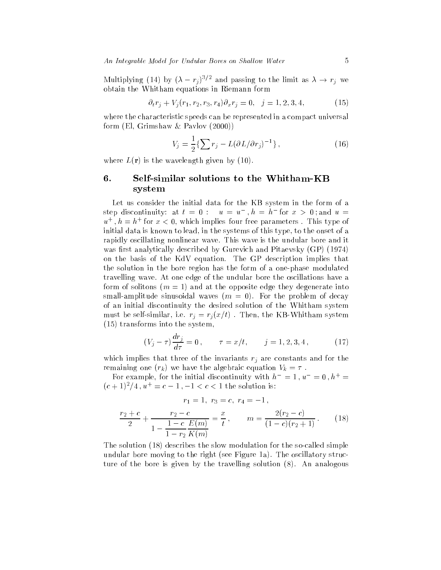An Integrable Model for Undular Bores on Shallow Water 5

Multiplying (14) by  $({\lambda - r_j})^{-r}$  and passing to the limit as  ${\lambda \to r_j}$  we obtain the Whitham equations in Riemann form

$$
\partial_t r_j + V_j(r_1, r_2, r_3, r_4) \partial_x r_j = 0, \quad j = 1, 2, 3, 4,
$$
\n(15)

where the characteristic speeds can be represented in a compact universal form (El, Grimshaw&Pavlov (2000))

$$
V_j = \frac{1}{2} \{ \sum r_j - L(\partial L/\partial r_j)^{-1} \}, \qquad (16)
$$

where  $L(\mathbf{r})$  is the wavelength given by (10).

## 6. Self-similar solutions to the Whitham-KB system

Let us consider the initial data for the KB system in the form of a step discontinuity: at  $t = 0$ :  $u = u$ ,  $n = n$  for  $x > 0$ ; and  $u =$  $u_{+}$ ,  $n = n_{+}$  for  $x <$  0, which implies four free parameters . This type of initial data is known to lead, in the systems of this type, to the onset of a rapidly oscillating nonlinear wave. This wave is the undular bore and it was first analytically described by Gurevich and Pitaevsky (GP) (1974) on the basis of the KdV equation. The GP description implies that the solution in the bore region has the form of a one-phase modulated travelling wave. At one edge of the undular bore the oscillations have a form of solitons  $(m = 1)$  and at the opposite edge they degenerate into small-amplitude sinusoidal waves  $(m = 0)$ . For the problem of decay of an initial discontinuity the desired solution of the Whitham system must be self-similar, i.e.  $r_j = r_j (x/t)$  . Then, the KB-Whitham system (15) transforms into the system,

$$
(V_j - \tau) \frac{dr_j}{d\tau} = 0, \qquad \tau = x/t, \qquad j = 1, 2, 3, 4,
$$
 (17)

which implies that three of the invariants  $r_i$  are constants and for the remaining one  $(r_k)$  we have the algebraic equation  $V_k = \tau$ .

For example, for the initial discontinuity with  $h^- = 1$ ,  $u^- = 0$ ,  $h^+ =$  $(c + 1)^2/4$ ,  $u^+ = c - 1$ ,  $-1 < c < 1$  the solution is:

$$
r_1=1, r_3=c, r_4=-1,
$$

$$
\frac{r_2 + c}{2} + \frac{r_2 - c}{1 - \frac{1 - c}{1 - r_2} \frac{E(m)}{K(m)}} = \frac{x}{t}, \qquad m = \frac{2(r_2 - c)}{(1 - c)(r_2 + 1)}.
$$
 (18)

The solution (18) describes the slow modulation for the so-called simple undular bore moving to the right (see Figure 1a). The oscillatory structure of the bore is given by the travelling solution (8). An analogous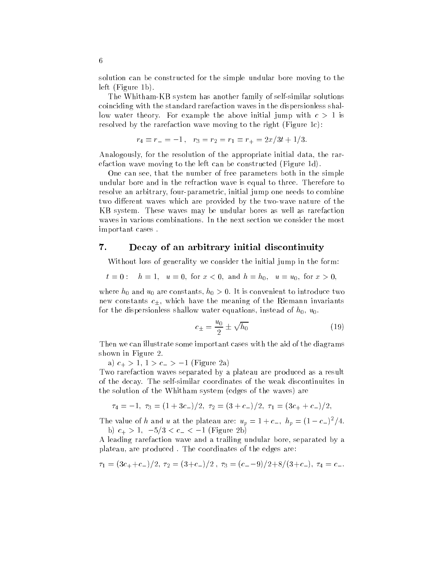solution can be constructed for the simple undular bore moving to the left (Figure 1b).

The Whitham-KB system has another family of self-similar solutions coinciding with the standard rarefaction waves in the dispersionless shallow water theory. For example the above initial jump with  $c > 1$  is resolved by the rarefaction wave moving to the right (Figure 1c):

$$
r_4 \equiv r_- = -1 \,, \quad r_3 = r_2 = r_1 \equiv r_+ = 2x/3t + 1/3.
$$

Analogously, for the resolution of the appropriate initial data, the rarefaction wave moving to the left can be constructed (Figure 1d).

One can see, that the number of free parameters both in the simple undular bore and in the refraction wave is equal to three. Therefore to resolve an arbitrary, four-parametric, initial jump one needs to combine two different waves which are provided by the two-wave nature of the KB system. These waves may be undular bores as well as rarefaction waves in various combinations. In the next section we consider the most important cases .

### 7.Decay of an arbitrary initial discontinuity

Without loss of generality we consider the initial jump in the form:

 $t = 0:$   $h = 1$ ,  $u = 0$ , for  $x < 0$ , and  $h = h_0$ ,  $u = u_0$ , for  $x > 0$ ,

where  $h_0$  and  $u_0$  are constants,  $h_0 > 0$ . It is convenient to introduce two new constants  $c_{\pm}$ , which have the meaning of the Riemann invariants for the dispersionless shallow water equations, instead of  $h_0$ ,  $u_0$ .

$$
c_{\pm} = \frac{u_0}{2} \pm \sqrt{h_0} \tag{19}
$$

Then we can illustrate some important cases with the aid of the diagrams shown in Figure 2.

a)  $c_+ > 1$ ,  $1 > c_- > -1$  (Figure 2a)

Two rarefaction waves separated by a plateau are produced as a result of the decay. The self-similar coordinates of the weak discontinuites in the solution of the Whitham system (edges of the waves) are

$$
\tau_4 = -1, \ \tau_3 = (1 + 3c_-)/2, \ \tau_2 = (3 + c_-)/2, \ \tau_1 = (3c_+ + c_-)/2,
$$

The value of h and u at the plateau are:  $u_p = 1+c_-, \; n_p = (1-c_-)^2/4.$ b)  $c_+ > 1$ ,  $-5/3 < c_- < -1$  (Figure 2b)

A leading rarefaction wave and a trailing undular bore, separated by a plateau, are produced . The coordinates of the edges are:

$$
\tau_1 = (3c_+ + c_-)/2, \ \tau_2 = (3+c_-)/2 \ , \ \tau_3 = (c_--9)/2 + 8/(3+c_-), \ \tau_4 = c_-.
$$

6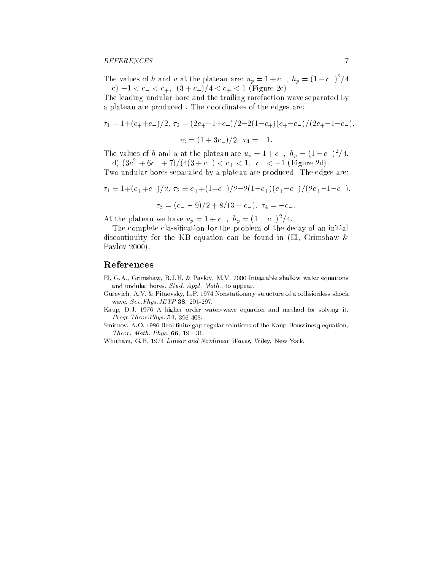The values of h and u at the plateau are:  $u_p = 1+c_-, n_p = (1-c_-)^2/4$ c)  $-1 < c_- < c_+$ ,  $(3 + c_-)/4 < c_+ < 1$  (Figure 2c)

The leading undular bore and the trailing rarefaction wave separated by a plateau are produced . The coordinates of the edges are:

$$
\tau_1 = 1 + (c_+ + c_-)/2, \tau_2 = (2c_+ + 1 + c_-)/2 - 2(1 - c_+)(c_+ - c_-)/(2c_+ - 1 - c_-),
$$
  

$$
\tau_3 = (1 + 3c_-)/2, \tau_4 = -1.
$$

The values of h and u at the plateau are  $u_p = 1+c_-, n_p = (1-c_-)^2/4$ . d) (3c  $\leq$  + 0c  $\leq$  + 1)/(4(3 + c  $\leq$  ) < c  $\leq$  + < 1, c  $\leq$   $\leq$  -1 (Figure 2d).

Two undular bores separated by a plateau are produced. The edges are:

$$
\tau_1 = 1 + (c_+ + c_-)/2, \tau_2 = c_+ + (1 + c_-)/2 - 2(1 - c_+)(c_+ - c_-)/(2c_+ - 1 - c_-),
$$
  

$$
\tau_3 = (c_- - 9)/2 + 8/(3 + c_-), \tau_4 = -c_-.
$$

At the plateau we have  $u_p = 1+c_-, \; h_p = (1-c_-)^2/4.$ 

The complete classication for the problem of the decay of an initial discontinuity for the KB equation can be found in (El, Grimshaw & Pavlov 2000).

# References

- El, G.A., Grimshaw, R.J.H. & Pavlov, M.V. 2000 Integrable shallow water equations and undular bores. Stud. Appl. Math., to appear.
- Gurevich, A.V. & Pitaevsky, L.P. 1974 Nonstationary structure of a collisionless shock wave. Sov.Phys.JETP 38, 291-297.
- Kaup, D.J. 1976 A higher order water-wave equation and method for solving it. Progr.Theor.Phys. 54, 396-408.
- Smirnov, A.O. 1986 Real finite-gap regular solutions of the Kaup-Boussinesq equation, Theor. Math. Phys. 66, 19 - 31.

Whitham, G.B. 1974 Linear and Nonlinear Waves, Wiley, New York.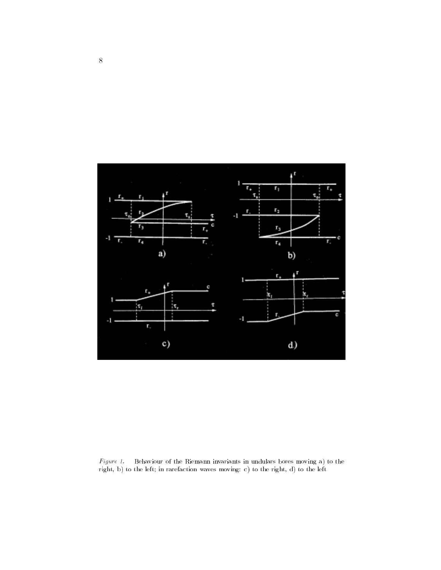

Figure 1. Behaviour of the Riemann invariants in undulars bores moving a) to the right, b) to the left; in rarefaction waves moving: c) to the right, d) to the left